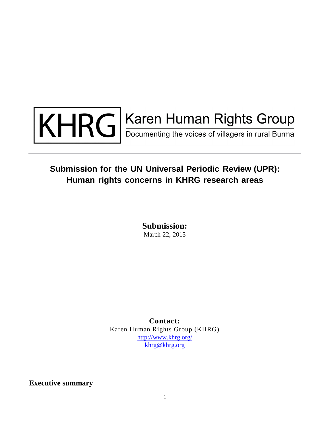

# KHRG Election Human Rights Group

## **Submission for the UN Universal Periodic Review (UPR): Human rights concerns in KHRG research areas**

**Submission:** March 22, 2015

**Contact:** Karen Human Rights Group (KHRG) <http://www.khrg.org/> [khrg@khrg.org](mailto:khrg@khrg.org)

**Executive summary**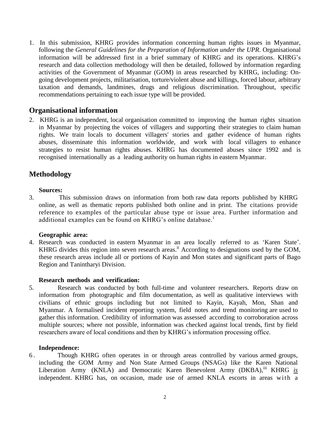1. In this submission, KHRG provides information concerning human rights issues in Myanmar, following the *General Guidelines for the Preparation of Information under the UPR*. Organisational information will be addressed first in a brief summary of KHRG and its operations. KHRG's research and data collection methodology will then be detailed, followed by information regarding activities of the Government of Myanmar (GOM) in areas researched by KHRG, including: Ongoing development projects, militarisation, torture/violent abuse and killings, forced labour, arbitrary taxation and demands, landmines, drugs and religious discrimination. Throughout, specific recommendations pertaining to each issue type will be provided.

#### **Organisational information**

2. KHRG is an independent, local organisation committed to improving the human rights situation in Myanmar by projecting the voices of villagers and supporting their strategies to claim human rights. We train locals to document villagers' stories and gather evidence of human rights abuses, disseminate this information worldwide, and work with local villagers to enhance strategies to resist human rights abuses. KHRG has documented abuses since 1992 and is recognised internationally as a leading authority on human rights in eastern Myanmar.

### **Methodology**

#### **Sources:**

3. This submission draws on information from both raw data reports published by KHRG online, as well as thematic reports published both online and in print. The citations provide reference to examples of the particular abuse type or issue area. Further information and additional examples can be found on KHRG's online database.<sup>i</sup>

#### **Geographic area:**

4. Research was conducted in eastern Myanmar in an area locally referred to as 'Karen State'. KHRG divides this region into seven research areas.<sup>ii</sup> According to designations used by the GOM, these research areas include all or portions of Kayin and Mon states and significant parts of Bago Region and Tanintharyi Division.

#### **Research methods and verification:**

5. Research was conducted by both full-time and volunteer researchers. Reports draw on information from photographic and film documentation, as well as qualitative interviews with civilians of ethnic groups including but not limited to Kayin, Kayah, Mon, Shan and Myanmar. A formalised incident reporting system, field notes and trend monitoring are used to gather this information. Credibility of information was assessed according to corroboration across multiple sources; where not possible, information was checked against local trends, first by field researchers aware of local conditions and then by KHRG's information processing office.

#### **Independence:**

6 . Though KHRG often operates in or through areas controlled by various armed groups, including the GOM Army and Non State Armed Groups (NSAGs) like the Karen National Liberation Army (KNLA) and Democratic Karen Benevolent Army (DKBA),<sup>iii</sup> KHRG *is* independent. KHRG has, on occasion, made use of armed KNLA escorts in areas with a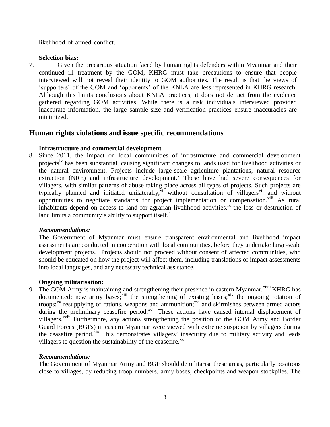likelihood of armed conflict.

#### **Selection bias:**

7. Given the precarious situation faced by human rights defenders within Myanmar and their continued ill treatment by the GOM, KHRG must take precautions to ensure that people interviewed will not reveal their identity to GOM authorities. The result is that the views of 'supporters' of the GOM and 'opponents' of the KNLA are less represented in KHRG research. Although this limits conclusions about KNLA practices, it does not detract from the evidence gathered regarding GOM activities. While there is a risk individuals interviewed provided inaccurate information, the large sample size and verification practices ensure inaccuracies are minimized.

### **Human rights violations and issue specific recommendations**

#### **Infrastructure and commercial development**

8. Since 2011, the impact on local communities of infrastructure and commercial development projects<sup>1v</sup> has been substantial, causing significant changes to lands used for livelihood activities or the natural environment. Projects include large-scale agriculture plantations, natural resource extraction (NRE) and infrastructure development.<sup>V</sup> These have had severe consequences for villagers, with similar patterns of abuse taking place across all types of projects. Such projects are typically planned and initiated unilaterally, it without consultation of villagers<sup>vii</sup> and without opportunities to negotiate standards for project implementation or compensation.<sup>viii</sup> As rural inhabitants depend on access to land for agrarian livelihood activities,<sup>ix</sup> the loss or destruction of land limits a community's ability to support itself.<sup>x</sup>

#### *Recommendations:*

The Government of Myanmar must ensure transparent environmental and livelihood impact assessments are conducted in cooperation with local communities, before they undertake large-scale development projects. Projects should not proceed without consent of affected communities, who should be educated on how the project will affect them, including translations of impact assessments into local languages, and any necessary technical assistance.

#### **Ongoing militarisation:**

9. The GOM Army is maintaining and strengthening their presence in eastern Myanmar.<sup>xixii</sup> KHRG has documented: new army bases;<sup>xiii</sup> the strengthening of existing bases;<sup>xiv</sup> the ongoing rotation of troops;<sup>xv</sup> resupplying of rations, weapons and ammunition;<sup>xvi</sup> and skirmishes between armed actors during the preliminary ceasefire period.<sup>xvii</sup> These actions have caused internal displacement of villagers.<sup>xviii</sup> Furthermore, any actions strengthening the position of the GOM Army and Border Guard Forces (BGFs) in eastern Myanmar were viewed with extreme suspicion by villagers during the ceasefire period.<sup>xix</sup> This demonstrates villagers' insecurity due to military activity and leads villagers to question the sustainability of the ceasefire. $^{xx}$ 

#### *Recommendations:*

The Government of Myanmar Army and BGF should demilitarise these areas, particularly positions close to villages, by reducing troop numbers, army bases, checkpoints and weapon stockpiles. The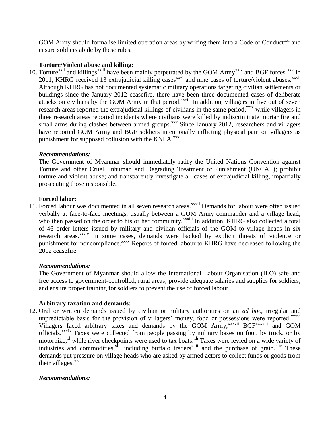GOM Army should formalise limited operation areas by writing them into a Code of Conduct<sup>xxi</sup> and ensure soldiers abide by these rules.

#### **Torture/Violent abuse and killing:**

10. Torture<sup>xxii</sup> and killings<sup>xxiii</sup> have been mainly perpetrated by the GOM Army<sup>xxiv</sup> and BGF forces.<sup>xxv</sup> In 2011, KHRG received 13 extrajudicial killing cases<sup>xxvi</sup> and nine cases of torture/violent abuses.<sup>xxvii</sup> Although KHRG has not documented systematic military operations targeting civilian settlements or buildings since the January 2012 ceasefire, there have been three documented cases of deliberate attacks on civilians by the GOM Army in that period.<sup>xxviii</sup> In addition, villagers in five out of seven research areas reported the extrajudicial killings of civilians in the same period,<sup>xxix</sup> while villagers in three research areas reported incidents where civilians were killed by indiscriminate mortar fire and small arms during clashes between armed groups.<sup>xxx</sup> Since January 2012, researchers and villagers have reported GOM Army and BGF soldiers intentionally inflicting physical pain on villagers as punishment for supposed collusion with the KNLA.<sup>xxxi</sup>

#### *Recommendations:*

The Government of Myanmar should immediately ratify the United Nations Convention against Torture and other Cruel, Inhuman and Degrading Treatment or Punishment (UNCAT); prohibit torture and violent abuse; and transparently investigate all cases of extrajudicial killing, impartially prosecuting those responsible.

#### **Forced labor:**

11. Forced labour was documented in all seven research areas.<sup>xxxii</sup> Demands for labour were often issued verbally at face-to-face meetings, usually between a GOM Army commander and a village head, who then passed on the order to his or her community.<sup>xxxiii</sup> In addition, KHRG also collected a total of 46 order letters issued by military and civilian officials of the GOM to village heads in six research areas.<sup>xxxiv</sup> In some cases, demands were backed by explicit threats of violence or punishment for noncompliance.<sup>xxxv</sup> Reports of forced labour to KHRG have decreased following the 2012 ceasefire.

#### *Recommendations:*

The Government of Myanmar should allow the International Labour Organisation (ILO) safe and free access to government-controlled, rural areas; provide adequate salaries and supplies for soldiers; and ensure proper training for soldiers to prevent the use of forced labour.

#### **Arbitrary taxation and demands:**

12. Oral or written demands issued by civilian or military authorities on an *ad hoc*, irregular and unpredictable basis for the provision of villagers' money, food or possessions were reported.<sup>xxxvi</sup> Villagers faced arbitrary taxes and demands by the GOM Army,<sup>xxxvii</sup> BGF<sup>xxxviii</sup> and GOM officials.<sup>xxxix</sup> Taxes were collected from people passing by military bases on foot, by truck, or by motorbike,<sup>xl</sup> while river checkpoints were used to tax boats.<sup>xli</sup> Taxes were levied on a wide variety of industries and commodities,<sup>xlii</sup> including buffalo traders<sup>xliii</sup> and the purchase of grain.<sup>xliv</sup> These demands put pressure on village heads who are asked by armed actors to collect funds or goods from their villages. $x^{1v}$ 

#### *Recommendations:*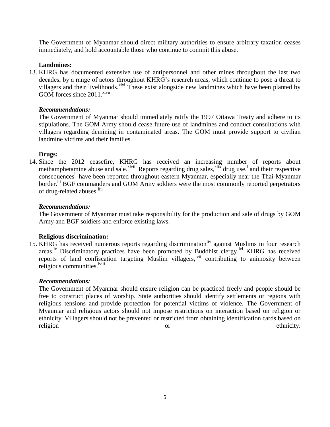The Government of Myanmar should direct military authorities to ensure arbitrary taxation ceases immediately, and hold accountable those who continue to commit this abuse.

#### **Landmines:**

13. KHRG has documented extensive use of antipersonnel and other mines throughout the last two decades, by a range of actors throughout KHRG's research areas, which continue to pose a threat to villagers and their livelihoods.<sup>xlvi</sup> These exist alongside new landmines which have been planted by GOM forces since  $2011$ . <sup>xlvii</sup>

#### *Recommendations:*

The Government of Myanmar should immediately ratify the 1997 Ottawa Treaty and adhere to its stipulations. The GOM Army should cease future use of landmines and conduct consultations with villagers regarding demining in contaminated areas. The GOM must provide support to civilian landmine victims and their families.

#### **Drugs:**

14. Since the 2012 ceasefire, KHRG has received an increasing number of reports about methamphetamine abuse and sale.<sup>xlviii</sup> Reports regarding drug sales,  $x$ <sup>lix</sup> drug use,<sup>1</sup> and their respective consequences<sup>li</sup> have been reported throughout eastern Myanmar, especially near the Thai-Myanmar border.<sup>lii</sup> BGF commanders and GOM Army soldiers were the most commonly reported perpetrators of drug-related abuses.<sup>liii</sup>

#### *Recommendations:*

The Government of Myanmar must take responsibility for the production and sale of drugs by GOM Army and BGF soldiers and enforce existing laws.

#### **Religious discrimination:**

15. KHRG has received numerous reports regarding discrimination<sup>liv</sup> against Muslims in four research areas.<sup>lv</sup> Discriminatory practices have been promoted by Buddhist clergy.<sup>lvi</sup> KHRG has received reports of land confiscation targeting Muslim villagers, <sup>lvii</sup> contributing to animosity between religious communities.<sup>lviii</sup>

#### *Recommendations:*

The Government of Myanmar should ensure religion can be practiced freely and people should be free to construct places of worship. State authorities should identify settlements or regions with religious tensions and provide protection for potential victims of violence. The Government of Myanmar and religious actors should not impose restrictions on interaction based on religion or ethnicity. Villagers should not be prevented or restricted from obtaining identification cards based on religion or ethnicity.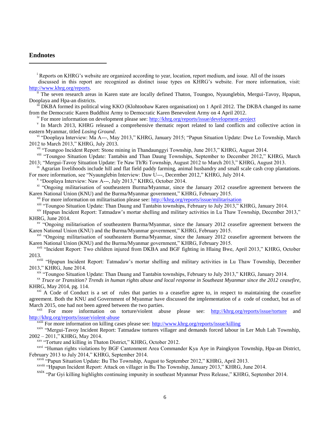#### **Endnotes**

 $\overline{\phantom{a}}$ 

<sup>i</sup> Reports on KHRG's website are organized according to year, location, report medium, and issue. All of the issues

discussed in this report are recognized as distinct issue types on KHRG's website. For more information, visit: [http://www.khrg.org/reports.](http://www.khrg.org/reports)

ii The seven research areas in Karen state are locally defined Thaton, Toungoo, Nyaunglebin, Mergui-Tavoy, Hpapun, Dooplaya and Hpa-an districts.

iii DKBA formed its political wing KKO (Klohtoobaw Karen organisation) on 1 April 2012. The DKBA changed its name from the Democratic Karen Buddhist Army to Democratic Karen Benevolent Army on 4 April 2012.

iv For more information on development please see:<http://khrg.org/reports/issue/development-project>

v In March 2013, KHRG released a comprehensive thematic report related to land conflicts and collective action in eastern Myanmar, titled *Losing Ground*.

vi "Dooplaya Interview: Ma A---, May 2013," KHRG, January 2015; "Papun Situation Update: Dwe Lo Township, March 2012 to March 2013," KHRG, July 2013.

<sup>vii</sup> "Toungoo Incident Report: Stone mining in Thandaunggyi Township, June 2013," KHRG, August 2014.

viii "Toungoo Situation Update: Tantabin and Than Daung Townships, September to December 2012," KHRG, March 2013; "Mergui-Tavoy Situation Update: Te Naw Th'Ri Township, August 2012 to March 2013," KHRG, August 2013.

<sup>ix</sup> Agrarian livelihoods include hill and flat field paddy farming, animal husbandry and small scale cash crop plantations. For more information, see "Nyaunglebin Interview: Daw U---, December 2012," KHRG, July 2014.

x "Dooplaya Interview: Naw A---, July 2013," KHRG, October 2014.

<sup>xi</sup> "Ongoing militarisation of southeastern Burma/Myanmar, since the January 2012 ceasefire agreement between the Karen National Union (KNU) and the Burma/Myanmar government," KHRG, February 2015.

<sup>xii</sup> For more information on militarisation please see:<http://khrg.org/reports/issue/militarisation>

<sup>xiii</sup> "Toungoo Situation Update: Than Daung and Tantabin townships, February to July 2013," KHRG, January 2014.

xiv Hpapun Incident Report: Tatmadaw's mortar shelling and military activities in Lu Thaw Township, December 2013," KHRG, June 2014.

xv "Ongoing militarisation of southeastern Burma/Myanmar, since the January 2012 ceasefire agreement between the Karen National Union (KNU) and the Burma/Myanmar government," KHRG, February 2015.

<sup>xvi</sup> "Ongoing militarisation of southeastern Burma/Myanmar, since the January 2012 ceasefire agreement between the Karen National Union (KNU) and the Burma/Myanmar government," KHRG, February 2015.

xvii "Incident Report: Two children injured from DKBA and BGF fighting in Hlaing Bwe, April 2013," KHRG, October 2013.

xviii "Hpapun Incident Report: Tatmadaw's mortar shelling and military activities in Lu Thaw Township, December 2013," KHRG, June 2014.

xix "Toungoo Situation Update: Than Daung and Tantabin townships, February to July 2013," KHRG, January 2014.

xx *Truce or Transition? Trends in human rights abuse and local response in Southeast Myanmar since the 2012 ceasefire*, KHRG, May 2014, pg. 114.

 $xxi$  A Code of Conduct is a set of rules that parties to a ceasefire agree to, in respect to maintaining the ceasefire agreement. Both the KNU and Government of Myanmar have discussed the implementation of a code of conduct, but as of March 2015, one had not been agreed between the two parties.<br>  $\frac{xxii}{\text{For } \text{more}}$  information on tertura/violant ob

For more information on torture/violent abuse please see: <http://khrg.org/reports/issue/torture> and <http://khrg.org/reports/issue/violent-abuse>

<sup>xxiii</sup> For more information on killing cases please see:<http://www.khrg.org/reports/issue/killing>

xxiv "Mergui-Tavoy Incident Report: Tatmadaw tortures villager and demands forced labour in Ler Muh Lah Township, 2002 – 2011," KHRG, May 2014.

xxv "Torture and killing in Thaton District," KHRG, October 2012.

<sup>xxvi</sup> "Human rights violations by BGF Cantonment Area Commander Kya Aye in Paingkyon Township, Hpa-an District, February 2013 to July 2014," KHRG, September 2014.

xxvii "Papun Situation Update: Bu Tho Township, August to September 2012," KHRG, April 2013.

xxviii "Hpapun Incident Report: Attack on villager in Bu Tho Township, January 2013," KHRG, June 2014.

xxix "Par Gyi killing highlights continuing impunity in southeast Myanmar Press Release," KHRG, September 2014.